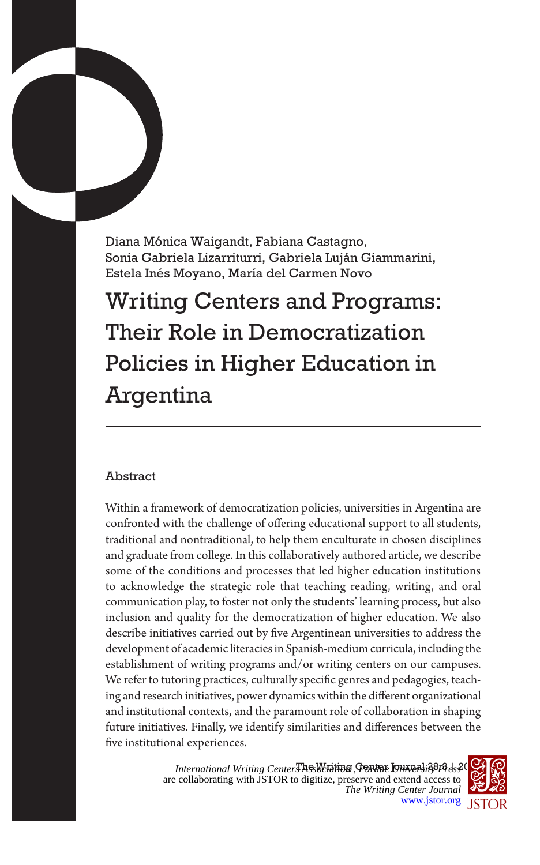Diana Mónica Waigandt, Fabiana Castagno, Sonia Gabriela Lizarriturri, Gabriela Luján Giammarini, Estela Inés Moyano, María del Carmen Novo

Writing Centers and Programs: Their Role in Democratization Policies in Higher Education in Argentina

# Abstract

Within a framework of democratization policies, universities in Argentina are confronted with the challenge of offering educational support to all students, traditional and nontraditional, to help them enculturate in chosen disciplines and graduate from college. In this collaboratively authored article, we describe some of the conditions and processes that led higher education institutions to acknowledge the strategic role that teaching reading, writing, and oral communication play, to foster not only the students' learning process, but also inclusion and quality for the democratization of higher education. We also describe initiatives carried out by five Argentinean universities to address the development of academic literacies in Spanish-medium curricula, including the establishment of writing programs and/or writing centers on our campuses. We refer to tutoring practices, culturally specific genres and pedagogies, teaching and research initiatives, power dynamics within the different organizational and institutional contexts, and the paramount role of collaboration in shaping future initiatives. Finally, we identify similarities and differences between the five institutional experiences.

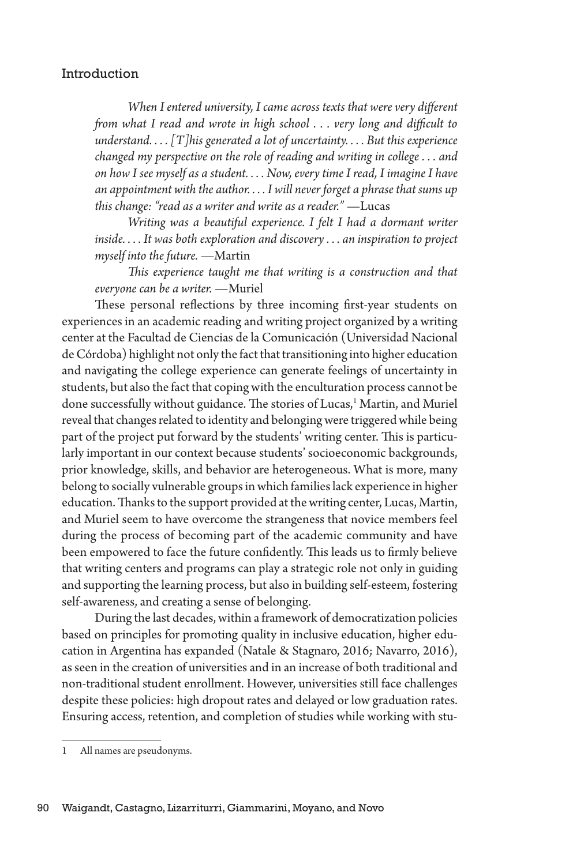### Introduction

*When I entered university, I came across texts that were very different from what I read and wrote in high school . . . very long and difficult to understand. . . . [T]his generated a lot of uncertainty. . . . But this experience changed my perspective on the role of reading and writing in college . . . and on how I see myself as a student. . . . Now, every time I read, I imagine I have an appointment with the author. . . . I will never forget a phrase that sums up this change: "read as a writer and write as a reader."* —Lucas

*Writing was a beautiful experience. I felt I had a dormant writer inside. . . . It was both exploration and discovery . . . an inspiration to project myself into the future.* —Martin

*This experience taught me that writing is a construction and that everyone can be a writer.* —Muriel

These personal reflections by three incoming first-year students on experiences in an academic reading and writing project organized by a writing center at the Facultad de Ciencias de la Comunicación (Universidad Nacional de Córdoba) highlight not only the fact that transitioning into higher education and navigating the college experience can generate feelings of uncertainty in students, but also the fact that coping with the enculturation process cannot be done successfully without guidance. The stories of Lucas,<sup>1</sup> Martin, and Muriel reveal that changes related to identity and belonging were triggered while being part of the project put forward by the students' writing center. This is particularly important in our context because students' socioeconomic backgrounds, prior knowledge, skills, and behavior are heterogeneous. What is more, many belong to socially vulnerable groups in which families lack experience in higher education. Thanks to the support provided at the writing center, Lucas, Martin, and Muriel seem to have overcome the strangeness that novice members feel during the process of becoming part of the academic community and have been empowered to face the future confidently. This leads us to firmly believe that writing centers and programs can play a strategic role not only in guiding and supporting the learning process, but also in building self-esteem, fostering self-awareness, and creating a sense of belonging.

During the last decades, within a framework of democratization policies based on principles for promoting quality in inclusive education, higher education in Argentina has expanded (Natale & Stagnaro, 2016; Navarro, 2016), as seen in the creation of universities and in an increase of both traditional and non-traditional student enrollment. However, universities still face challenges despite these policies: high dropout rates and delayed or low graduation rates. Ensuring access, retention, and completion of studies while working with stu-

<sup>1</sup> All names are pseudonyms.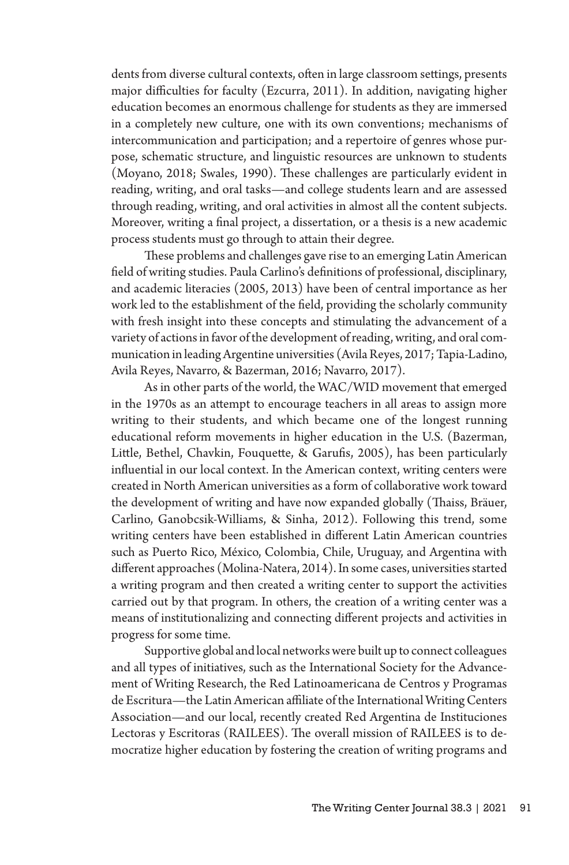dents from diverse cultural contexts, often in large classroom settings, presents major difficulties for faculty (Ezcurra, 2011). In addition, navigating higher education becomes an enormous challenge for students as they are immersed in a completely new culture, one with its own conventions; mechanisms of intercommunication and participation; and a repertoire of genres whose purpose, schematic structure, and linguistic resources are unknown to students (Moyano, 2018; Swales, 1990). These challenges are particularly evident in reading, writing, and oral tasks—and college students learn and are assessed through reading, writing, and oral activities in almost all the content subjects. Moreover, writing a final project, a dissertation, or a thesis is a new academic process students must go through to attain their degree.

These problems and challenges gave rise to an emerging Latin American field of writing studies. Paula Carlino's definitions of professional, disciplinary, and academic literacies (2005, 2013) have been of central importance as her work led to the establishment of the field, providing the scholarly community with fresh insight into these concepts and stimulating the advancement of a variety of actions in favor of the development of reading, writing, and oral communication in leading Argentine universities (Avila Reyes, 2017; Tapia-Ladino, Avila Reyes, Navarro, & Bazerman, 2016; Navarro, 2017).

As in other parts of the world, the WAC/WID movement that emerged in the 1970s as an attempt to encourage teachers in all areas to assign more writing to their students, and which became one of the longest running educational reform movements in higher education in the U.S. (Bazerman, Little, Bethel, Chavkin, Fouquette, & Garufis, 2005), has been particularly influential in our local context. In the American context, writing centers were created in North American universities as a form of collaborative work toward the development of writing and have now expanded globally (Thaiss, Bräuer, Carlino, Ganobcsik-Williams, & Sinha, 2012). Following this trend, some writing centers have been established in different Latin American countries such as Puerto Rico, México, Colombia, Chile, Uruguay, and Argentina with different approaches (Molina-Natera, 2014). In some cases, universities started a writing program and then created a writing center to support the activities carried out by that program. In others, the creation of a writing center was a means of institutionalizing and connecting different projects and activities in progress for some time.

Supportive global and local networks were built up to connect colleagues and all types of initiatives, such as the International Society for the Advancement of Writing Research, the Red Latinoamericana de Centros y Programas de Escritura—the Latin American affiliate of the International Writing Centers Association—and our local, recently created Red Argentina de Instituciones Lectoras y Escritoras (RAILEES). The overall mission of RAILEES is to democratize higher education by fostering the creation of writing programs and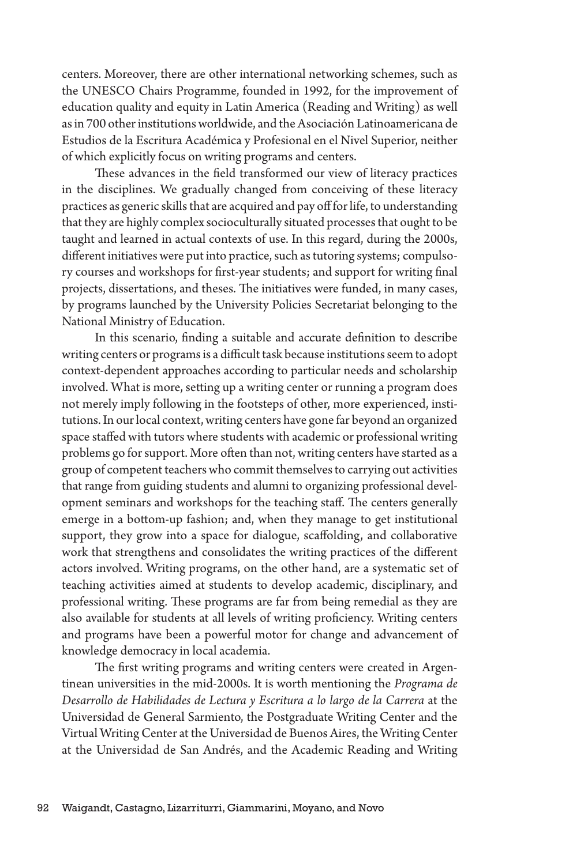centers. Moreover, there are other international networking schemes, such as the UNESCO Chairs Programme, founded in 1992, for the improvement of education quality and equity in Latin America (Reading and Writing) as well as in 700 other institutions worldwide, and the Asociación Latinoamericana de Estudios de la Escritura Académica y Profesional en el Nivel Superior, neither of which explicitly focus on writing programs and centers.

These advances in the field transformed our view of literacy practices in the disciplines. We gradually changed from conceiving of these literacy practices as generic skills that are acquired and pay off for life, to understanding that they are highly complex socioculturally situated processes that ought to be taught and learned in actual contexts of use. In this regard, during the 2000s, different initiatives were put into practice, such as tutoring systems; compulsory courses and workshops for first-year students; and support for writing final projects, dissertations, and theses. The initiatives were funded, in many cases, by programs launched by the University Policies Secretariat belonging to the National Ministry of Education.

In this scenario, finding a suitable and accurate definition to describe writing centers or programs is a difficult task because institutions seem to adopt context-dependent approaches according to particular needs and scholarship involved. What is more, setting up a writing center or running a program does not merely imply following in the footsteps of other, more experienced, institutions. In our local context, writing centers have gone far beyond an organized space staffed with tutors where students with academic or professional writing problems go for support. More often than not, writing centers have started as a group of competent teachers who commit themselves to carrying out activities that range from guiding students and alumni to organizing professional development seminars and workshops for the teaching staff. The centers generally emerge in a bottom-up fashion; and, when they manage to get institutional support, they grow into a space for dialogue, scaffolding, and collaborative work that strengthens and consolidates the writing practices of the different actors involved. Writing programs, on the other hand, are a systematic set of teaching activities aimed at students to develop academic, disciplinary, and professional writing. These programs are far from being remedial as they are also available for students at all levels of writing proficiency. Writing centers and programs have been a powerful motor for change and advancement of knowledge democracy in local academia.

The first writing programs and writing centers were created in Argentinean universities in the mid-2000s. It is worth mentioning the *Programa de Desarrollo de Habilidades de Lectura y Escritura a lo largo de la Carrera* at the Universidad de General Sarmiento, the Postgraduate Writing Center and the Virtual Writing Center at the Universidad de Buenos Aires, the Writing Center at the Universidad de San Andrés, and the Academic Reading and Writing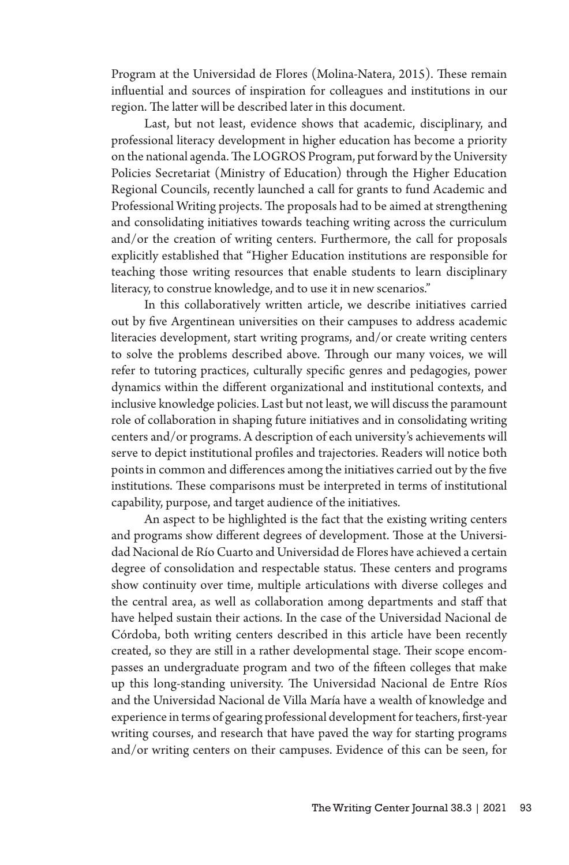Program at the Universidad de Flores (Molina-Natera, 2015). These remain influential and sources of inspiration for colleagues and institutions in our region. The latter will be described later in this document.

Last, but not least, evidence shows that academic, disciplinary, and professional literacy development in higher education has become a priority on the national agenda. The LOGROS Program, put forward by the University Policies Secretariat (Ministry of Education) through the Higher Education Regional Councils, recently launched a call for grants to fund Academic and Professional Writing projects. The proposals had to be aimed at strengthening and consolidating initiatives towards teaching writing across the curriculum and/or the creation of writing centers. Furthermore, the call for proposals explicitly established that "Higher Education institutions are responsible for teaching those writing resources that enable students to learn disciplinary literacy, to construe knowledge, and to use it in new scenarios."

In this collaboratively written article, we describe initiatives carried out by five Argentinean universities on their campuses to address academic literacies development, start writing programs, and/or create writing centers to solve the problems described above. Through our many voices, we will refer to tutoring practices, culturally specific genres and pedagogies, power dynamics within the different organizational and institutional contexts, and inclusive knowledge policies. Last but not least, we will discuss the paramount role of collaboration in shaping future initiatives and in consolidating writing centers and/or programs. A description of each university's achievements will serve to depict institutional profiles and trajectories. Readers will notice both points in common and differences among the initiatives carried out by the five institutions. These comparisons must be interpreted in terms of institutional capability, purpose, and target audience of the initiatives.

An aspect to be highlighted is the fact that the existing writing centers and programs show different degrees of development. Those at the Universidad Nacional de Río Cuarto and Universidad de Flores have achieved a certain degree of consolidation and respectable status. These centers and programs show continuity over time, multiple articulations with diverse colleges and the central area, as well as collaboration among departments and staff that have helped sustain their actions. In the case of the Universidad Nacional de Córdoba, both writing centers described in this article have been recently created, so they are still in a rather developmental stage. Their scope encompasses an undergraduate program and two of the fifteen colleges that make up this long-standing university. The Universidad Nacional de Entre Ríos and the Universidad Nacional de Villa María have a wealth of knowledge and experience in terms of gearing professional development for teachers, first-year writing courses, and research that have paved the way for starting programs and/or writing centers on their campuses. Evidence of this can be seen, for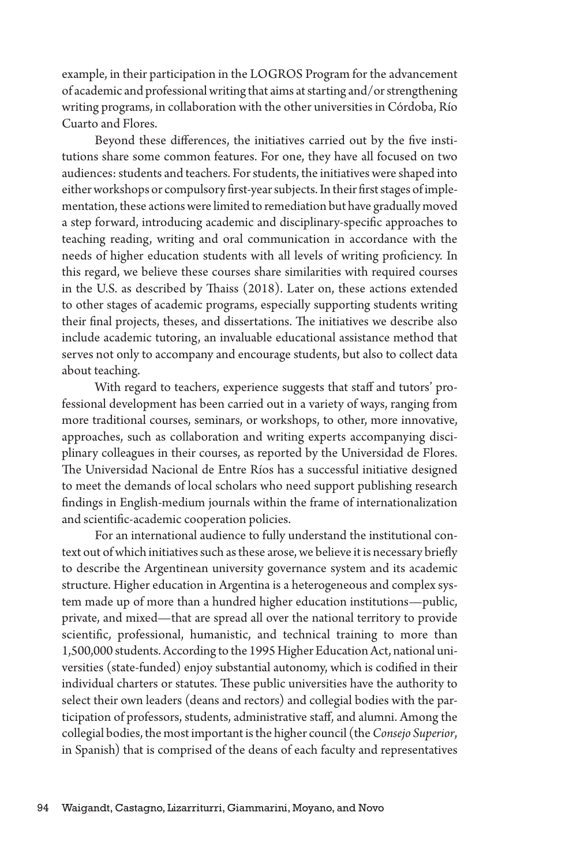example, in their participation in the LOGROS Program for the advancement of academic and professional writing that aims at starting and/or strengthening writing programs, in collaboration with the other universities in Córdoba, Río Cuarto and Flores.

Beyond these differences, the initiatives carried out by the five institutions share some common features. For one, they have all focused on two audiences: students and teachers. For students, the initiatives were shaped into either workshops or compulsory first-year subjects. In their first stages of implementation, these actions were limited to remediation but have gradually moved a step forward, introducing academic and disciplinary-specific approaches to teaching reading, writing and oral communication in accordance with the needs of higher education students with all levels of writing proficiency. In this regard, we believe these courses share similarities with required courses in the U.S. as described by Thaiss (2018). Later on, these actions extended to other stages of academic programs, especially supporting students writing their final projects, theses, and dissertations. The initiatives we describe also include academic tutoring, an invaluable educational assistance method that serves not only to accompany and encourage students, but also to collect data about teaching.

With regard to teachers, experience suggests that staff and tutors' professional development has been carried out in a variety of ways, ranging from more traditional courses, seminars, or workshops, to other, more innovative, approaches, such as collaboration and writing experts accompanying disciplinary colleagues in their courses, as reported by the Universidad de Flores. The Universidad Nacional de Entre Ríos has a successful initiative designed to meet the demands of local scholars who need support publishing research findings in English-medium journals within the frame of internationalization and scientific-academic cooperation policies.

For an international audience to fully understand the institutional context out of which initiatives such as these arose, we believe it is necessary briefly to describe the Argentinean university governance system and its academic structure. Higher education in Argentina is a heterogeneous and complex system made up of more than a hundred higher education institutions—public, private, and mixed—that are spread all over the national territory to provide scientific, professional, humanistic, and technical training to more than 1,500,000 students. According to the 1995 Higher Education Act, national universities (state-funded) enjoy substantial autonomy, which is codified in their individual charters or statutes. These public universities have the authority to select their own leaders (deans and rectors) and collegial bodies with the participation of professors, students, administrative staff, and alumni. Among the collegial bodies, the most important is the higher council (the *Consejo Superior*, in Spanish) that is comprised of the deans of each faculty and representatives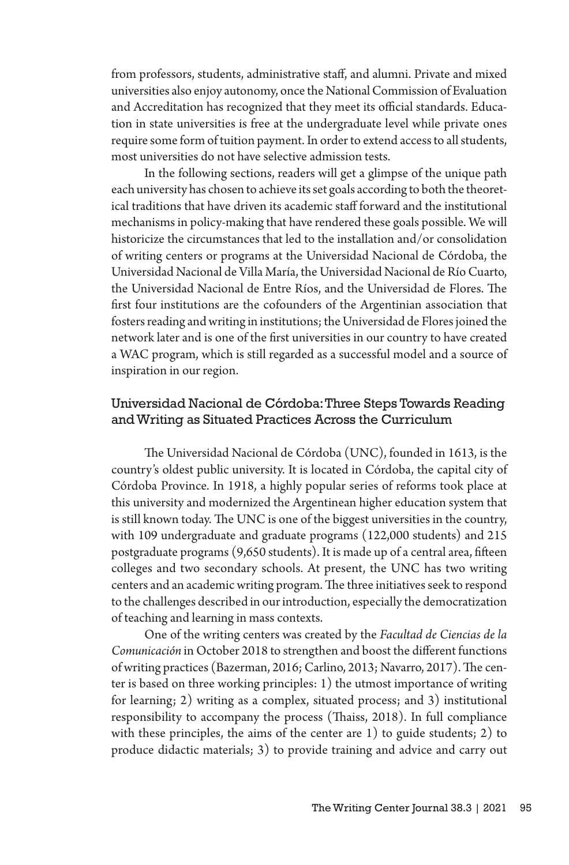from professors, students, administrative staff, and alumni. Private and mixed universities also enjoy autonomy, once the National Commission of Evaluation and Accreditation has recognized that they meet its official standards. Education in state universities is free at the undergraduate level while private ones require some form of tuition payment. In order to extend access to all students, most universities do not have selective admission tests.

In the following sections, readers will get a glimpse of the unique path each university has chosen to achieve its set goals according to both the theoretical traditions that have driven its academic staff forward and the institutional mechanisms in policy-making that have rendered these goals possible. We will historicize the circumstances that led to the installation and/or consolidation of writing centers or programs at the Universidad Nacional de Córdoba, the Universidad Nacional de Villa María, the Universidad Nacional de Río Cuarto, the Universidad Nacional de Entre Ríos, and the Universidad de Flores. The first four institutions are the cofounders of the Argentinian association that fosters reading and writing in institutions; the Universidad de Flores joined the network later and is one of the first universities in our country to have created a WAC program, which is still regarded as a successful model and a source of inspiration in our region.

## Universidad Nacional de Córdoba: Three Steps Towards Reading and Writing as Situated Practices Across the Curriculum

The Universidad Nacional de Córdoba (UNC), founded in 1613, is the country's oldest public university. It is located in Córdoba, the capital city of Córdoba Province. In 1918, a highly popular series of reforms took place at this university and modernized the Argentinean higher education system that is still known today. The UNC is one of the biggest universities in the country, with 109 undergraduate and graduate programs (122,000 students) and 215 postgraduate programs (9,650 students). It is made up of a central area, fifteen colleges and two secondary schools. At present, the UNC has two writing centers and an academic writing program. The three initiatives seek to respond to the challenges described in our introduction, especially the democratization of teaching and learning in mass contexts.

One of the writing centers was created by the *Facultad de Ciencias de la Comunicación* in October 2018 to strengthen and boost the different functions of writing practices (Bazerman, 2016; Carlino, 2013; Navarro, 2017). The center is based on three working principles: 1) the utmost importance of writing for learning; 2) writing as a complex, situated process; and 3) institutional responsibility to accompany the process (Thaiss, 2018). In full compliance with these principles, the aims of the center are 1) to guide students; 2) to produce didactic materials; 3) to provide training and advice and carry out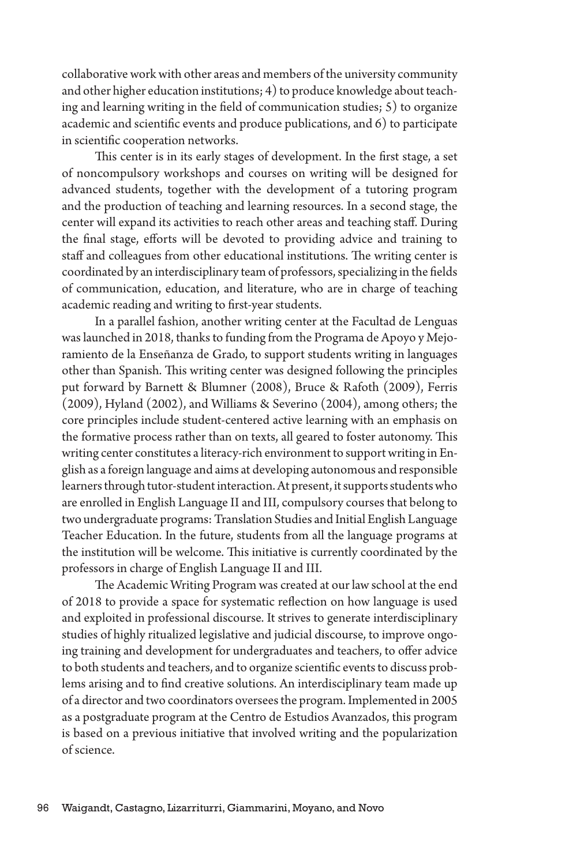collaborative work with other areas and members of the university community and other higher education institutions; 4) to produce knowledge about teaching and learning writing in the field of communication studies; 5) to organize academic and scientific events and produce publications, and 6) to participate in scientific cooperation networks.

This center is in its early stages of development. In the first stage, a set of noncompulsory workshops and courses on writing will be designed for advanced students, together with the development of a tutoring program and the production of teaching and learning resources. In a second stage, the center will expand its activities to reach other areas and teaching staff. During the final stage, efforts will be devoted to providing advice and training to staff and colleagues from other educational institutions. The writing center is coordinated by an interdisciplinary team of professors, specializing in the fields of communication, education, and literature, who are in charge of teaching academic reading and writing to first-year students.

In a parallel fashion, another writing center at the Facultad de Lenguas was launched in 2018, thanks to funding from the Programa de Apoyo y Mejoramiento de la Enseñanza de Grado, to support students writing in languages other than Spanish. This writing center was designed following the principles put forward by Barnett & Blumner (2008), Bruce & Rafoth (2009), Ferris (2009), Hyland (2002), and Williams & Severino (2004), among others; the core principles include student-centered active learning with an emphasis on the formative process rather than on texts, all geared to foster autonomy. This writing center constitutes a literacy-rich environment to support writing in English as a foreign language and aims at developing autonomous and responsible learners through tutor-student interaction. At present, it supports students who are enrolled in English Language II and III, compulsory courses that belong to two undergraduate programs: Translation Studies and Initial English Language Teacher Education. In the future, students from all the language programs at the institution will be welcome. This initiative is currently coordinated by the professors in charge of English Language II and III.

The Academic Writing Program was created at our law school at the end of 2018 to provide a space for systematic reflection on how language is used and exploited in professional discourse. It strives to generate interdisciplinary studies of highly ritualized legislative and judicial discourse, to improve ongoing training and development for undergraduates and teachers, to offer advice to both students and teachers, and to organize scientific events to discuss problems arising and to find creative solutions. An interdisciplinary team made up of a director and two coordinators oversees the program. Implemented in 2005 as a postgraduate program at the Centro de Estudios Avanzados, this program is based on a previous initiative that involved writing and the popularization of science.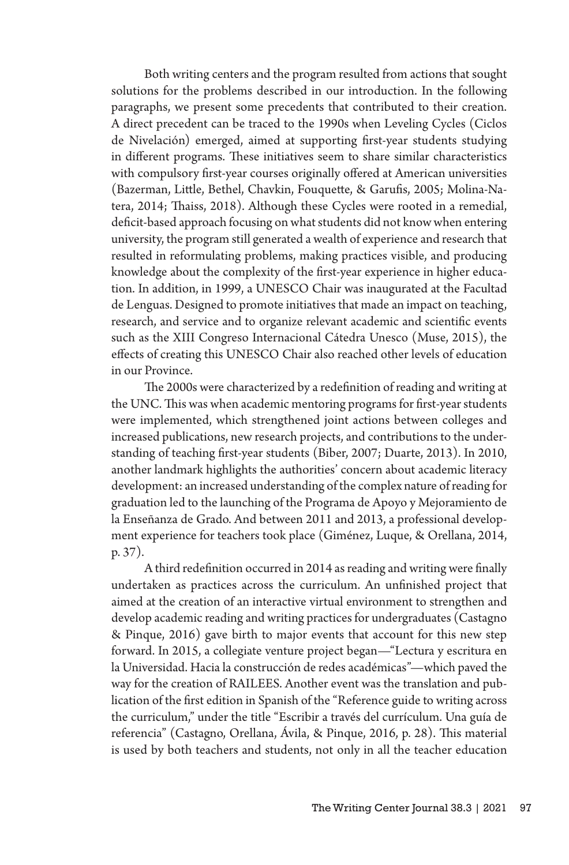Both writing centers and the program resulted from actions that sought solutions for the problems described in our introduction. In the following paragraphs, we present some precedents that contributed to their creation. A direct precedent can be traced to the 1990s when Leveling Cycles (Ciclos de Nivelación) emerged, aimed at supporting first-year students studying in different programs. These initiatives seem to share similar characteristics with compulsory first-year courses originally offered at American universities (Bazerman, Little, Bethel, Chavkin, Fouquette, & Garufis, 2005; Molina-Natera, 2014; Thaiss, 2018). Although these Cycles were rooted in a remedial, deficit-based approach focusing on what students did not know when entering university, the program still generated a wealth of experience and research that resulted in reformulating problems, making practices visible, and producing knowledge about the complexity of the first-year experience in higher education. In addition, in 1999, a UNESCO Chair was inaugurated at the Facultad de Lenguas. Designed to promote initiatives that made an impact on teaching, research, and service and to organize relevant academic and scientific events such as the XIII Congreso Internacional Cátedra Unesco (Muse, 2015), the effects of creating this UNESCO Chair also reached other levels of education in our Province.

The 2000s were characterized by a redefinition of reading and writing at the UNC. This was when academic mentoring programs for first-year students were implemented, which strengthened joint actions between colleges and increased publications, new research projects, and contributions to the understanding of teaching first-year students (Biber, 2007; Duarte, 2013). In 2010, another landmark highlights the authorities' concern about academic literacy development: an increased understanding of the complex nature of reading for graduation led to the launching of the Programa de Apoyo y Mejoramiento de la Enseñanza de Grado. And between 2011 and 2013, a professional development experience for teachers took place (Giménez, Luque, & Orellana, 2014, p. 37).

A third redefinition occurred in 2014 as reading and writing were finally undertaken as practices across the curriculum. An unfinished project that aimed at the creation of an interactive virtual environment to strengthen and develop academic reading and writing practices for undergraduates (Castagno & Pinque, 2016) gave birth to major events that account for this new step forward. In 2015, a collegiate venture project began—"Lectura y escritura en la Universidad. Hacia la construcción de redes académicas"—which paved the way for the creation of RAILEES. Another event was the translation and publication of the first edition in Spanish of the "Reference guide to writing across the curriculum," under the title "Escribir a través del currículum. Una guía de referencia" (Castagno, Orellana, Ávila, & Pinque, 2016, p. 28). This material is used by both teachers and students, not only in all the teacher education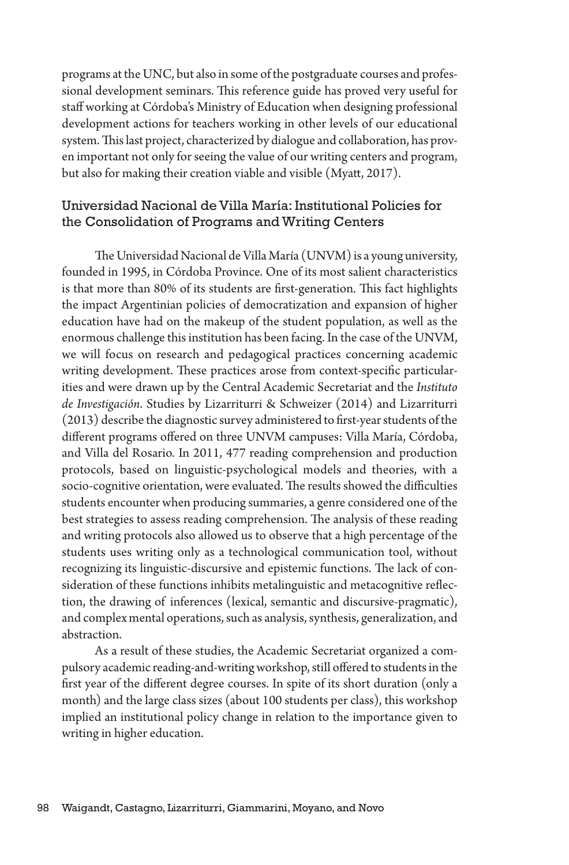programs at the UNC, but also in some of the postgraduate courses and professional development seminars. This reference guide has proved very useful for staff working at Córdoba's Ministry of Education when designing professional development actions for teachers working in other levels of our educational system. This last project, characterized by dialogue and collaboration, has proven important not only for seeing the value of our writing centers and program, but also for making their creation viable and visible (Myatt, 2017).

### Universidad Nacional de Villa María: Institutional Policies for the Consolidation of Programs and Writing Centers

The Universidad Nacional de Villa María (UNVM) is a young university, founded in 1995, in Córdoba Province. One of its most salient characteristics is that more than 80% of its students are first-generation. This fact highlights the impact Argentinian policies of democratization and expansion of higher education have had on the makeup of the student population, as well as the enormous challenge this institution has been facing. In the case of the UNVM, we will focus on research and pedagogical practices concerning academic writing development. These practices arose from context-specific particularities and were drawn up by the Central Academic Secretariat and the *Instituto de Investigación*. Studies by Lizarriturri & Schweizer (2014) and Lizarriturri (2013) describe the diagnostic survey administered to first-year students of the different programs offered on three UNVM campuses: Villa María, Córdoba, and Villa del Rosario. In 2011, 477 reading comprehension and production protocols, based on linguistic-psychological models and theories, with a socio-cognitive orientation, were evaluated. The results showed the difficulties students encounter when producing summaries, a genre considered one of the best strategies to assess reading comprehension. The analysis of these reading and writing protocols also allowed us to observe that a high percentage of the students uses writing only as a technological communication tool, without recognizing its linguistic-discursive and epistemic functions. The lack of consideration of these functions inhibits metalinguistic and metacognitive reflection, the drawing of inferences (lexical, semantic and discursive-pragmatic), and complex mental operations, such as analysis, synthesis, generalization, and abstraction.

As a result of these studies, the Academic Secretariat organized a compulsory academic reading-and-writing workshop, still offered to students in the first year of the different degree courses. In spite of its short duration (only a month) and the large class sizes (about 100 students per class), this workshop implied an institutional policy change in relation to the importance given to writing in higher education.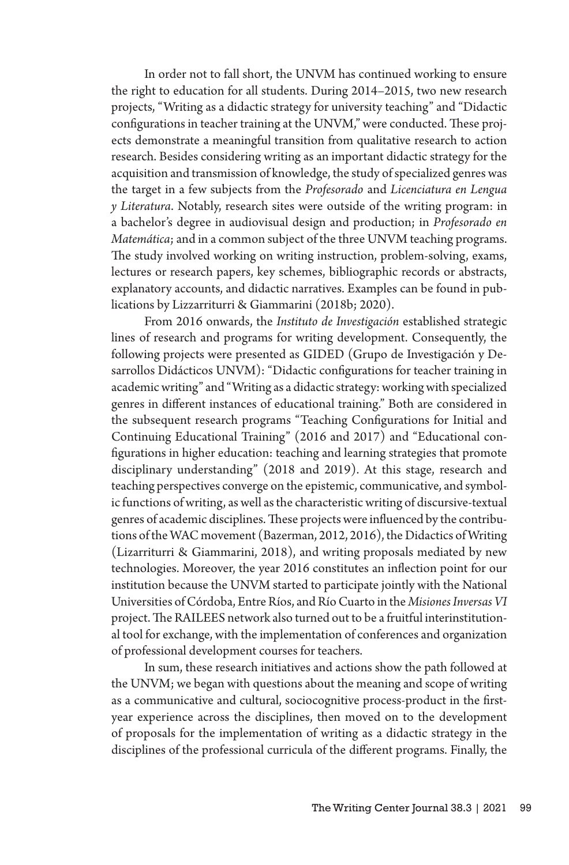In order not to fall short, the UNVM has continued working to ensure the right to education for all students. During 2014–2015, two new research projects, "Writing as a didactic strategy for university teaching" and "Didactic configurations in teacher training at the UNVM," were conducted. These projects demonstrate a meaningful transition from qualitative research to action research. Besides considering writing as an important didactic strategy for the acquisition and transmission of knowledge, the study of specialized genres was the target in a few subjects from the *Profesorado* and *Licenciatura en Lengua y Literatura*. Notably, research sites were outside of the writing program: in a bachelor's degree in audiovisual design and production; in *Profesorado en Matemática*; and in a common subject of the three UNVM teaching programs. The study involved working on writing instruction, problem-solving, exams, lectures or research papers, key schemes, bibliographic records or abstracts, explanatory accounts, and didactic narratives. Examples can be found in publications by Lizzarriturri & Giammarini (2018b; 2020).

From 2016 onwards, the *Instituto de Investigación* established strategic lines of research and programs for writing development. Consequently, the following projects were presented as GIDED (Grupo de Investigación y Desarrollos Didácticos UNVM): "Didactic configurations for teacher training in academic writing" and "Writing as a didactic strategy: working with specialized genres in different instances of educational training." Both are considered in the subsequent research programs "Teaching Configurations for Initial and Continuing Educational Training" (2016 and 2017) and "Educational configurations in higher education: teaching and learning strategies that promote disciplinary understanding" (2018 and 2019). At this stage, research and teaching perspectives converge on the epistemic, communicative, and symbolic functions of writing, as well as the characteristic writing of discursive-textual genres of academic disciplines. These projects were influenced by the contributions of the WAC movement (Bazerman, 2012, 2016), the Didactics of Writing (Lizarriturri & Giammarini, 2018), and writing proposals mediated by new technologies. Moreover, the year 2016 constitutes an inflection point for our institution because the UNVM started to participate jointly with the National Universities of Córdoba, Entre Ríos, and Río Cuarto in the *Misiones Inversas VI* project. The RAILEES network also turned out to be a fruitful interinstitutional tool for exchange, with the implementation of conferences and organization of professional development courses for teachers.

In sum, these research initiatives and actions show the path followed at the UNVM; we began with questions about the meaning and scope of writing as a communicative and cultural, sociocognitive process-product in the firstyear experience across the disciplines, then moved on to the development of proposals for the implementation of writing as a didactic strategy in the disciplines of the professional curricula of the different programs. Finally, the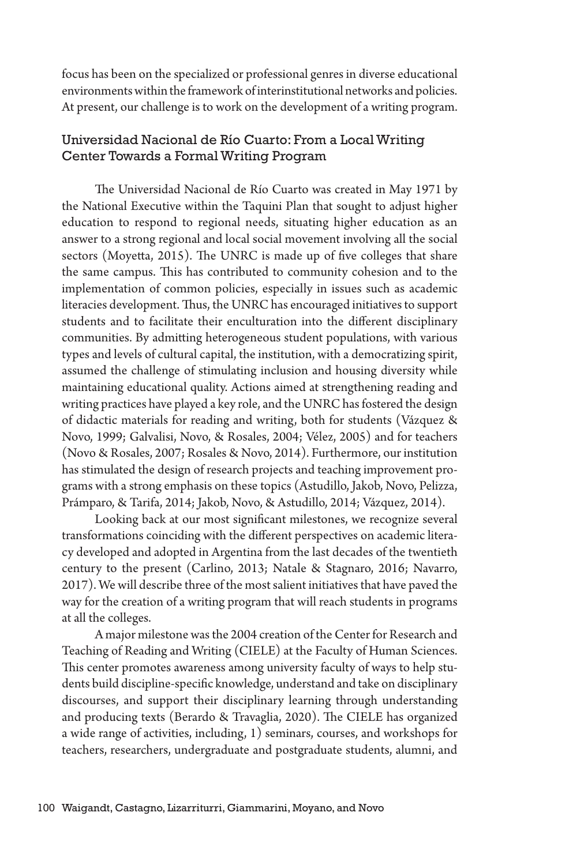focus has been on the specialized or professional genres in diverse educational environments within the framework of interinstitutional networks and policies. At present, our challenge is to work on the development of a writing program.

## Universidad Nacional de Río Cuarto: From a Local Writing Center Towards a Formal Writing Program

The Universidad Nacional de Río Cuarto was created in May 1971 by the National Executive within the Taquini Plan that sought to adjust higher education to respond to regional needs, situating higher education as an answer to a strong regional and local social movement involving all the social sectors (Moyetta, 2015). The UNRC is made up of five colleges that share the same campus. This has contributed to community cohesion and to the implementation of common policies, especially in issues such as academic literacies development. Thus, the UNRC has encouraged initiatives to support students and to facilitate their enculturation into the different disciplinary communities. By admitting heterogeneous student populations, with various types and levels of cultural capital, the institution, with a democratizing spirit, assumed the challenge of stimulating inclusion and housing diversity while maintaining educational quality. Actions aimed at strengthening reading and writing practices have played a key role, and the UNRC has fostered the design of didactic materials for reading and writing, both for students (Vázquez & Novo, 1999; Galvalisi, Novo, & Rosales, 2004; Vélez, 2005) and for teachers (Novo & Rosales, 2007; Rosales & Novo, 2014). Furthermore, our institution has stimulated the design of research projects and teaching improvement programs with a strong emphasis on these topics (Astudillo, Jakob, Novo, Pelizza, Prámparo, & Tarifa, 2014; Jakob, Novo, & Astudillo, 2014; Vázquez, 2014).

Looking back at our most significant milestones, we recognize several transformations coinciding with the different perspectives on academic literacy developed and adopted in Argentina from the last decades of the twentieth century to the present (Carlino, 2013; Natale & Stagnaro, 2016; Navarro, 2017). We will describe three of the most salient initiatives that have paved the way for the creation of a writing program that will reach students in programs at all the colleges.

A major milestone was the 2004 creation of the Center for Research and Teaching of Reading and Writing (CIELE) at the Faculty of Human Sciences. This center promotes awareness among university faculty of ways to help students build discipline-specific knowledge, understand and take on disciplinary discourses, and support their disciplinary learning through understanding and producing texts (Berardo & Travaglia, 2020). The CIELE has organized a wide range of activities, including, 1) seminars, courses, and workshops for teachers, researchers, undergraduate and postgraduate students, alumni, and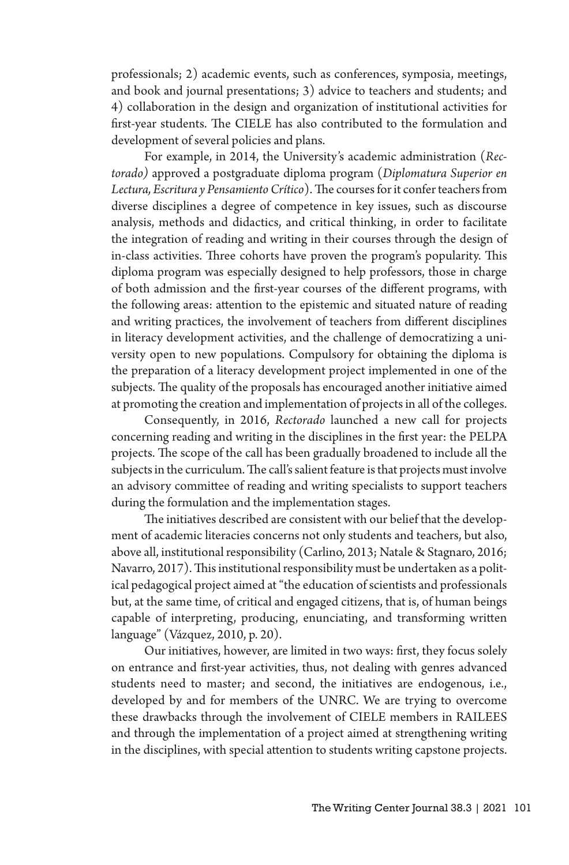professionals; 2) academic events, such as conferences, symposia, meetings, and book and journal presentations; 3) advice to teachers and students; and 4) collaboration in the design and organization of institutional activities for first-year students. The CIELE has also contributed to the formulation and development of several policies and plans.

For example, in 2014, the University's academic administration (*Rectorado)* approved a postgraduate diploma program (*Diplomatura Superior en Lectura, Escritura y Pensamiento Crítico*). The courses for it confer teachers from diverse disciplines a degree of competence in key issues, such as discourse analysis, methods and didactics, and critical thinking, in order to facilitate the integration of reading and writing in their courses through the design of in-class activities. Three cohorts have proven the program's popularity. This diploma program was especially designed to help professors, those in charge of both admission and the first-year courses of the different programs, with the following areas: attention to the epistemic and situated nature of reading and writing practices, the involvement of teachers from different disciplines in literacy development activities, and the challenge of democratizing a university open to new populations. Compulsory for obtaining the diploma is the preparation of a literacy development project implemented in one of the subjects. The quality of the proposals has encouraged another initiative aimed at promoting the creation and implementation of projects in all of the colleges.

Consequently, in 2016, *Rectorado* launched a new call for projects concerning reading and writing in the disciplines in the first year: the PELPA projects. The scope of the call has been gradually broadened to include all the subjects in the curriculum. The call's salient feature is that projects must involve an advisory committee of reading and writing specialists to support teachers during the formulation and the implementation stages.

The initiatives described are consistent with our belief that the development of academic literacies concerns not only students and teachers, but also, above all, institutional responsibility (Carlino, 2013; Natale & Stagnaro, 2016; Navarro, 2017). This institutional responsibility must be undertaken as a political pedagogical project aimed at "the education of scientists and professionals but, at the same time, of critical and engaged citizens, that is, of human beings capable of interpreting, producing, enunciating, and transforming written language" (Vázquez, 2010, p. 20).

Our initiatives, however, are limited in two ways: first, they focus solely on entrance and first-year activities, thus, not dealing with genres advanced students need to master; and second, the initiatives are endogenous, i.e., developed by and for members of the UNRC. We are trying to overcome these drawbacks through the involvement of CIELE members in RAILEES and through the implementation of a project aimed at strengthening writing in the disciplines, with special attention to students writing capstone projects.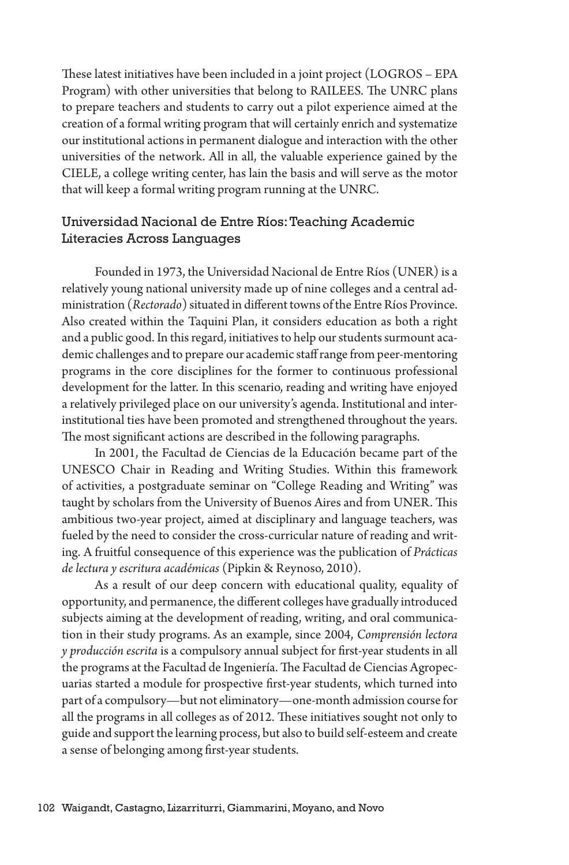These latest initiatives have been included in a joint project (LOGROS – EPA Program) with other universities that belong to RAILEES. The UNRC plans to prepare teachers and students to carry out a pilot experience aimed at the creation of a formal writing program that will certainly enrich and systematize our institutional actions in permanent dialogue and interaction with the other universities of the network. All in all, the valuable experience gained by the CIELE, a college writing center, has lain the basis and will serve as the motor that will keep a formal writing program running at the UNRC.

## Universidad Nacional de Entre Ríos: Teaching Academic Literacies Across Languages

Founded in 1973, the Universidad Nacional de Entre Ríos (UNER) is a relatively young national university made up of nine colleges and a central administration (*Rectorado*) situated in different towns of the Entre Ríos Province. Also created within the Taquini Plan, it considers education as both a right and a public good. In this regard, initiatives to help our students surmount academic challenges and to prepare our academic staff range from peer-mentoring programs in the core disciplines for the former to continuous professional development for the latter. In this scenario, reading and writing have enjoyed a relatively privileged place on our university's agenda. Institutional and interinstitutional ties have been promoted and strengthened throughout the years. The most significant actions are described in the following paragraphs.

In 2001, the Facultad de Ciencias de la Educación became part of the UNESCO Chair in Reading and Writing Studies. Within this framework of activities, a postgraduate seminar on "College Reading and Writing" was taught by scholars from the University of Buenos Aires and from UNER. This ambitious two-year project, aimed at disciplinary and language teachers, was fueled by the need to consider the cross-curricular nature of reading and writing. A fruitful consequence of this experience was the publication of *Prácticas de lectura y escritura académicas* (Pipkin & Reynoso, 2010).

As a result of our deep concern with educational quality, equality of opportunity, and permanence, the different colleges have gradually introduced subjects aiming at the development of reading, writing, and oral communication in their study programs. As an example, since 2004, *Comprensión lectora y producción escrita* is a compulsory annual subject for first-year students in all the programs at the Facultad de Ingeniería. The Facultad de Ciencias Agropecuarias started a module for prospective first-year students, which turned into part of a compulsory—but not eliminatory—one-month admission course for all the programs in all colleges as of 2012. These initiatives sought not only to guide and support the learning process, but also to build self-esteem and create a sense of belonging among first-year students.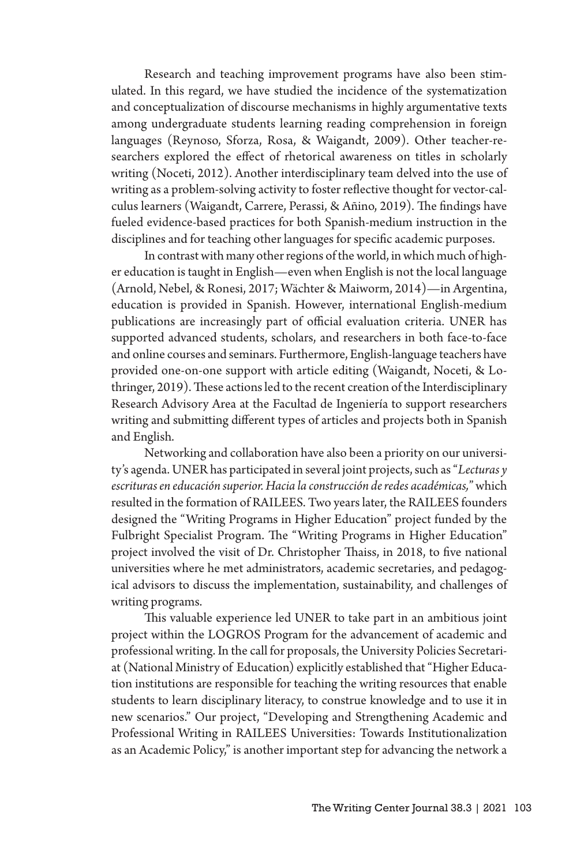Research and teaching improvement programs have also been stimulated. In this regard, we have studied the incidence of the systematization and conceptualization of discourse mechanisms in highly argumentative texts among undergraduate students learning reading comprehension in foreign languages (Reynoso, Sforza, Rosa, & Waigandt, 2009). Other teacher-researchers explored the effect of rhetorical awareness on titles in scholarly writing (Noceti, 2012). Another interdisciplinary team delved into the use of writing as a problem-solving activity to foster reflective thought for vector-calculus learners (Waigandt, Carrere, Perassi, & Añino, 2019). The findings have fueled evidence-based practices for both Spanish-medium instruction in the disciplines and for teaching other languages for specific academic purposes.

In contrast with many other regions of the world, in which much of higher education is taught in English—even when English is not the local language (Arnold, Nebel, & Ronesi, 2017; Wächter & Maiworm, 2014)—in Argentina, education is provided in Spanish. However, international English-medium publications are increasingly part of official evaluation criteria. UNER has supported advanced students, scholars, and researchers in both face-to-face and online courses and seminars. Furthermore, English-language teachers have provided one-on-one support with article editing (Waigandt, Noceti, & Lothringer, 2019). These actions led to the recent creation of the Interdisciplinary Research Advisory Area at the Facultad de Ingeniería to support researchers writing and submitting different types of articles and projects both in Spanish and English.

Networking and collaboration have also been a priority on our university's agenda. UNER has participated in several joint projects, such as "*Lecturas y escrituras en educación superior. Hacia la construcción de redes académicas,*"which resulted in the formation of RAILEES. Two years later, the RAILEES founders designed the "Writing Programs in Higher Education" project funded by the Fulbright Specialist Program. The "Writing Programs in Higher Education" project involved the visit of Dr. Christopher Thaiss, in 2018, to five national universities where he met administrators, academic secretaries, and pedagogical advisors to discuss the implementation, sustainability, and challenges of writing programs.

This valuable experience led UNER to take part in an ambitious joint project within the LOGROS Program for the advancement of academic and professional writing. In the call for proposals, the University Policies Secretariat (National Ministry of Education) explicitly established that "Higher Education institutions are responsible for teaching the writing resources that enable students to learn disciplinary literacy, to construe knowledge and to use it in new scenarios." Our project, "Developing and Strengthening Academic and Professional Writing in RAILEES Universities: Towards Institutionalization as an Academic Policy," is another important step for advancing the network a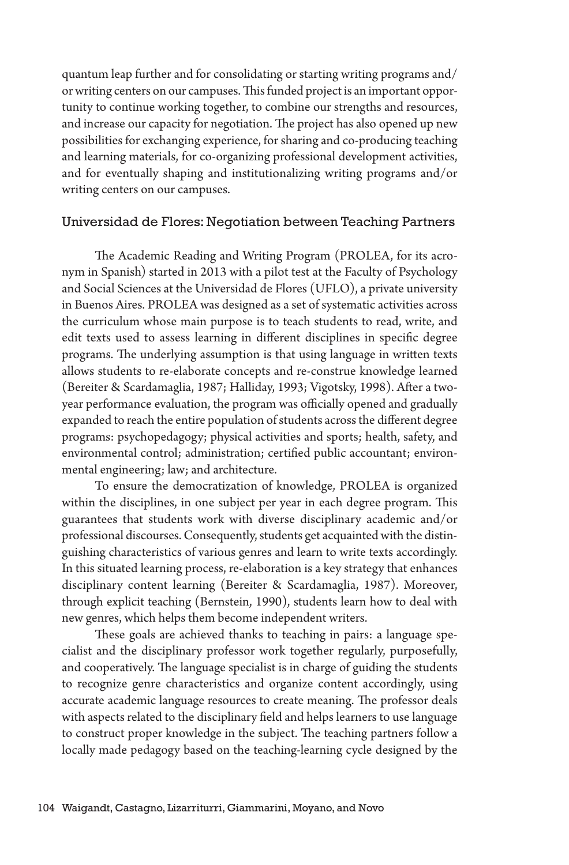quantum leap further and for consolidating or starting writing programs and/ or writing centers on our campuses. This funded project is an important opportunity to continue working together, to combine our strengths and resources, and increase our capacity for negotiation. The project has also opened up new possibilities for exchanging experience, for sharing and co-producing teaching and learning materials, for co-organizing professional development activities, and for eventually shaping and institutionalizing writing programs and/or writing centers on our campuses.

#### Universidad de Flores: Negotiation between Teaching Partners

The Academic Reading and Writing Program (PROLEA, for its acronym in Spanish) started in 2013 with a pilot test at the Faculty of Psychology and Social Sciences at the Universidad de Flores (UFLO), a private university in Buenos Aires. PROLEA was designed as a set of systematic activities across the curriculum whose main purpose is to teach students to read, write, and edit texts used to assess learning in different disciplines in specific degree programs. The underlying assumption is that using language in written texts allows students to re-elaborate concepts and re-construe knowledge learned (Bereiter & Scardamaglia, 1987; Halliday, 1993; Vigotsky, 1998). After a twoyear performance evaluation, the program was officially opened and gradually expanded to reach the entire population of students across the different degree programs: psychopedagogy; physical activities and sports; health, safety, and environmental control; administration; certified public accountant; environmental engineering; law; and architecture.

To ensure the democratization of knowledge, PROLEA is organized within the disciplines, in one subject per year in each degree program. This guarantees that students work with diverse disciplinary academic and/or professional discourses. Consequently, students get acquainted with the distinguishing characteristics of various genres and learn to write texts accordingly. In this situated learning process, re-elaboration is a key strategy that enhances disciplinary content learning (Bereiter & Scardamaglia, 1987). Moreover, through explicit teaching (Bernstein, 1990), students learn how to deal with new genres, which helps them become independent writers.

These goals are achieved thanks to teaching in pairs: a language specialist and the disciplinary professor work together regularly, purposefully, and cooperatively. The language specialist is in charge of guiding the students to recognize genre characteristics and organize content accordingly, using accurate academic language resources to create meaning. The professor deals with aspects related to the disciplinary field and helps learners to use language to construct proper knowledge in the subject. The teaching partners follow a locally made pedagogy based on the teaching-learning cycle designed by the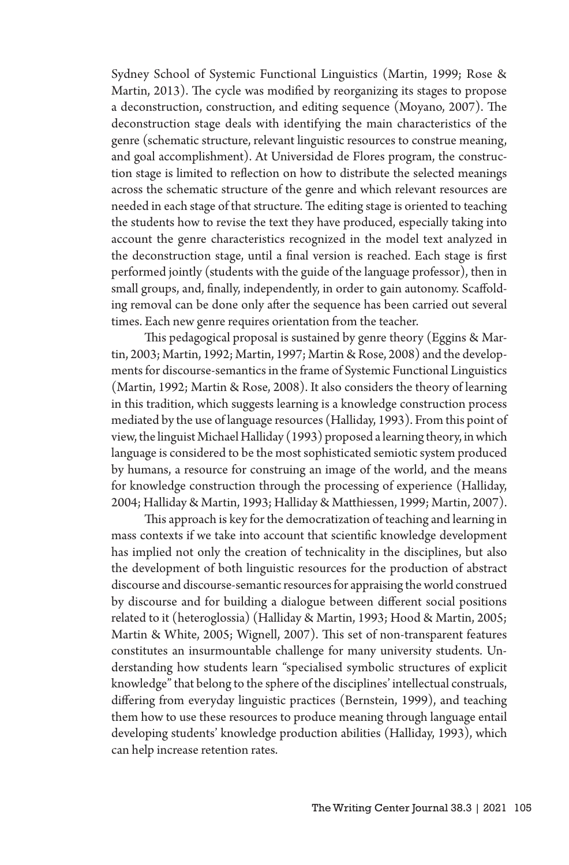Sydney School of Systemic Functional Linguistics (Martin, 1999; Rose & Martin, 2013). The cycle was modified by reorganizing its stages to propose a deconstruction, construction, and editing sequence (Moyano, 2007). The deconstruction stage deals with identifying the main characteristics of the genre (schematic structure, relevant linguistic resources to construe meaning, and goal accomplishment). At Universidad de Flores program, the construction stage is limited to reflection on how to distribute the selected meanings across the schematic structure of the genre and which relevant resources are needed in each stage of that structure. The editing stage is oriented to teaching the students how to revise the text they have produced, especially taking into account the genre characteristics recognized in the model text analyzed in the deconstruction stage, until a final version is reached. Each stage is first performed jointly (students with the guide of the language professor), then in small groups, and, finally, independently, in order to gain autonomy. Scaffolding removal can be done only after the sequence has been carried out several times. Each new genre requires orientation from the teacher.

This pedagogical proposal is sustained by genre theory (Eggins & Martin, 2003; Martin, 1992; Martin, 1997; Martin & Rose, 2008) and the developments for discourse-semantics in the frame of Systemic Functional Linguistics (Martin, 1992; Martin & Rose, 2008). It also considers the theory of learning in this tradition, which suggests learning is a knowledge construction process mediated by the use of language resources (Halliday, 1993). From this point of view, the linguist Michael Halliday (1993) proposed a learning theory, in which language is considered to be the most sophisticated semiotic system produced by humans, a resource for construing an image of the world, and the means for knowledge construction through the processing of experience (Halliday, 2004; Halliday & Martin, 1993; Halliday & Matthiessen, 1999; Martin, 2007).

This approach is key for the democratization of teaching and learning in mass contexts if we take into account that scientific knowledge development has implied not only the creation of technicality in the disciplines, but also the development of both linguistic resources for the production of abstract discourse and discourse-semantic resources for appraising the world construed by discourse and for building a dialogue between different social positions related to it (heteroglossia) (Halliday & Martin, 1993; Hood & Martin, 2005; Martin & White, 2005; Wignell, 2007). This set of non-transparent features constitutes an insurmountable challenge for many university students. Understanding how students learn "specialised symbolic structures of explicit knowledge" that belong to the sphere of the disciplines' intellectual construals, differing from everyday linguistic practices (Bernstein, 1999), and teaching them how to use these resources to produce meaning through language entail developing students' knowledge production abilities (Halliday, 1993), which can help increase retention rates.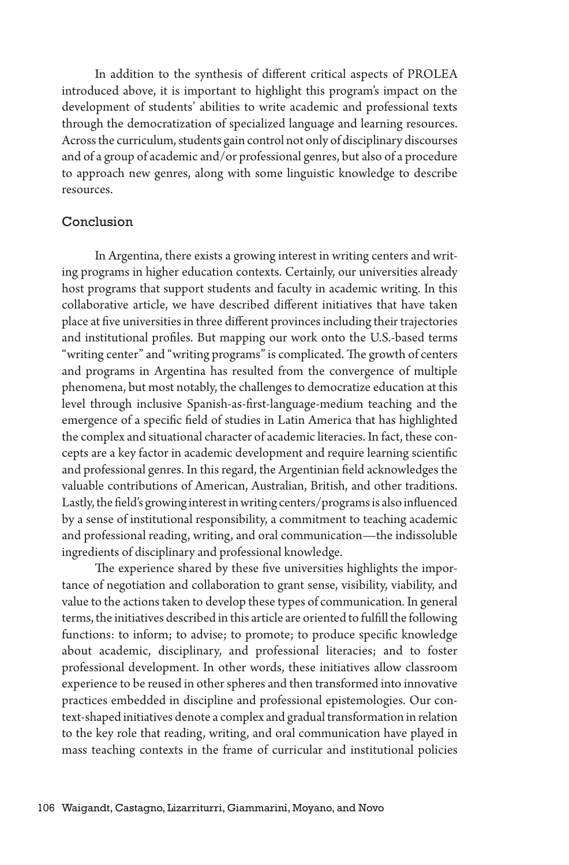In addition to the synthesis of different critical aspects of PROLEA introduced above, it is important to highlight this program's impact on the development of students' abilities to write academic and professional texts through the democratization of specialized language and learning resources. Across the curriculum, students gain control not only of disciplinary discourses and of a group of academic and/or professional genres, but also of a procedure to approach new genres, along with some linguistic knowledge to describe resources.

#### Conclusion

In Argentina, there exists a growing interest in writing centers and writing programs in higher education contexts. Certainly, our universities already host programs that support students and faculty in academic writing. In this collaborative article, we have described different initiatives that have taken place at five universities in three different provinces including their trajectories and institutional profiles. But mapping our work onto the U.S.-based terms "writing center" and "writing programs" is complicated. The growth of centers and programs in Argentina has resulted from the convergence of multiple phenomena, but most notably, the challenges to democratize education at this level through inclusive Spanish-as-first-language-medium teaching and the emergence of a specific field of studies in Latin America that has highlighted the complex and situational character of academic literacies. In fact, these concepts are a key factor in academic development and require learning scientific and professional genres. In this regard, the Argentinian field acknowledges the valuable contributions of American, Australian, British, and other traditions. Lastly, the field's growing interest in writing centers/programs is also influenced by a sense of institutional responsibility, a commitment to teaching academic and professional reading, writing, and oral communication—the indissoluble ingredients of disciplinary and professional knowledge.

The experience shared by these five universities highlights the importance of negotiation and collaboration to grant sense, visibility, viability, and value to the actions taken to develop these types of communication. In general terms, the initiatives described in this article are oriented to fulfill the following functions: to inform; to advise; to promote; to produce specific knowledge about academic, disciplinary, and professional literacies; and to foster professional development. In other words, these initiatives allow classroom experience to be reused in other spheres and then transformed into innovative practices embedded in discipline and professional epistemologies. Our context-shaped initiatives denote a complex and gradual transformation in relation to the key role that reading, writing, and oral communication have played in mass teaching contexts in the frame of curricular and institutional policies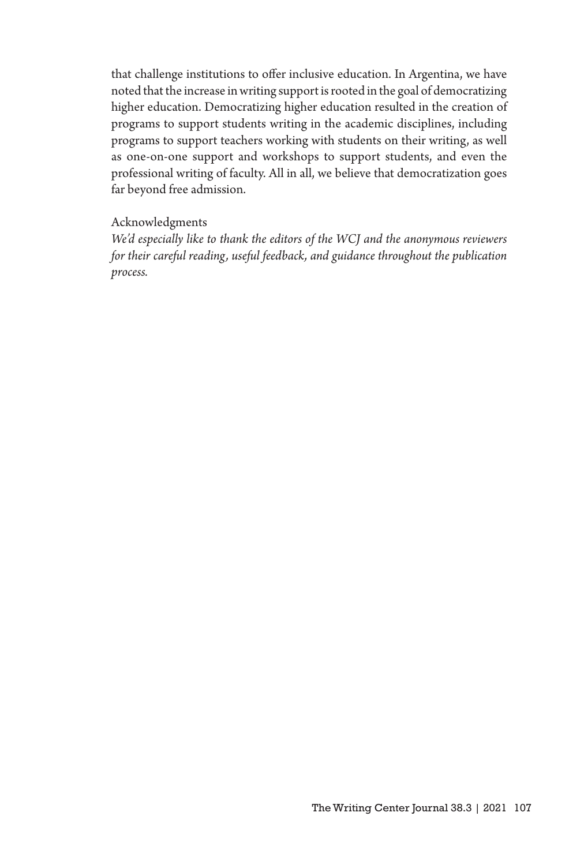that challenge institutions to offer inclusive education. In Argentina, we have noted that the increase in writing support is rooted in the goal of democratizing higher education. Democratizing higher education resulted in the creation of programs to support students writing in the academic disciplines, including programs to support teachers working with students on their writing, as well as one-on-one support and workshops to support students, and even the professional writing of faculty. All in all, we believe that democratization goes far beyond free admission.

#### Acknowledgments

*We'd especially like to thank the editors of the WCJ and the anonymous reviewers for their careful reading, useful feedback, and guidance throughout the publication process.*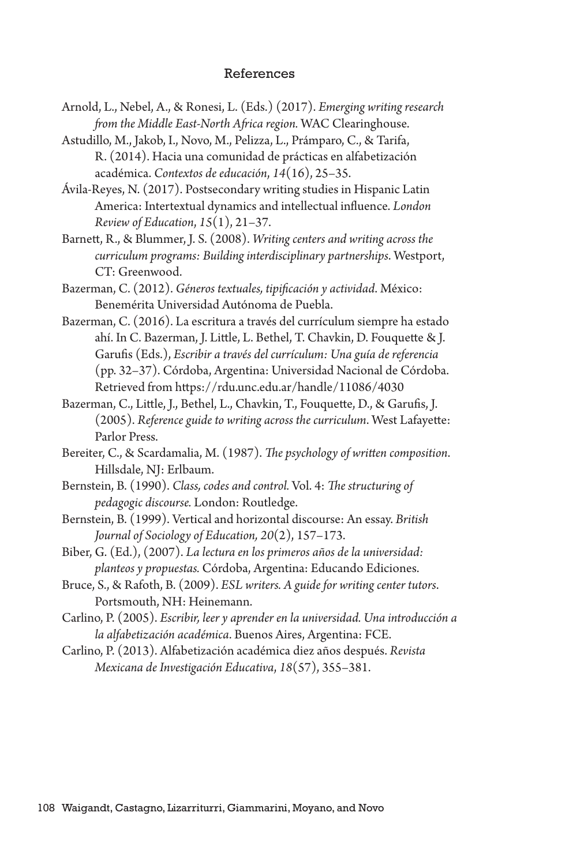#### References

- Arnold, L., Nebel, A., & Ronesi, L. (Eds.) (2017). *Emerging writing research from the Middle East-North Africa region.* WAC Clearinghouse.
- Astudillo, M., Jakob, I., Novo, M., Pelizza, L., Prámparo, C., & Tarifa, R. (2014). Hacia una comunidad de prácticas en alfabetización académica. *Contextos de educación*, *14*(16), 25–35.
- Ávila-Reyes, N. (2017). Postsecondary writing studies in Hispanic Latin America: Intertextual dynamics and intellectual influence. *London Review of Education*, *15*(1), 21–37.
- Barnett, R., & Blummer, J. S. (2008). *Writing centers and writing across the curriculum programs: Building interdisciplinary partnerships*. Westport, CT: Greenwood.
- Bazerman, C. (2012). *Géneros textuales, tipificación y actividad*. México: Benemérita Universidad Autónoma de Puebla.
- Bazerman, C. (2016). La escritura a través del currículum siempre ha estado ahí. In C. Bazerman, J. Little, L. Bethel, T. Chavkin, D. Fouquette & J. Garufis (Eds.), *Escribir a través del currículum: Una guía de referencia* (pp. 32–37). Córdoba, Argentina: Universidad Nacional de Córdoba. Retrieved from https://rdu.unc.edu.ar/handle/11086/4030
- Bazerman, C., Little, J., Bethel, L., Chavkin, T., Fouquette, D., & Garufis, J. (2005). *Reference guide to writing across the curriculum*. West Lafayette: Parlor Press.
- Bereiter, C., & Scardamalia, M. (1987). *The psychology of written composition*. Hillsdale, NJ: Erlbaum.
- Bernstein, B. (1990). *Class, codes and control.* Vol. 4: *The structuring of pedagogic discourse.* London: Routledge.
- Bernstein, B. (1999). Vertical and horizontal discourse: An essay. *British Journal of Sociology of Education, 20*(2), 157–173.
- Biber, G. (Ed.), (2007). *La lectura en los primeros años de la universidad: planteos y propuestas.* Córdoba, Argentina: Educando Ediciones.
- Bruce, S., & Rafoth, B. (2009). *ESL writers. A guide for writing center tutors*. Portsmouth, NH: Heinemann.
- Carlino, P. (2005). *Escribir, leer y aprender en la universidad. Una introducción a la alfabetización académica*. Buenos Aires, Argentina: FCE.
- Carlino, P. (2013). Alfabetización académica diez años después. *Revista Mexicana de Investigación Educativa*, *18*(57), 355–381.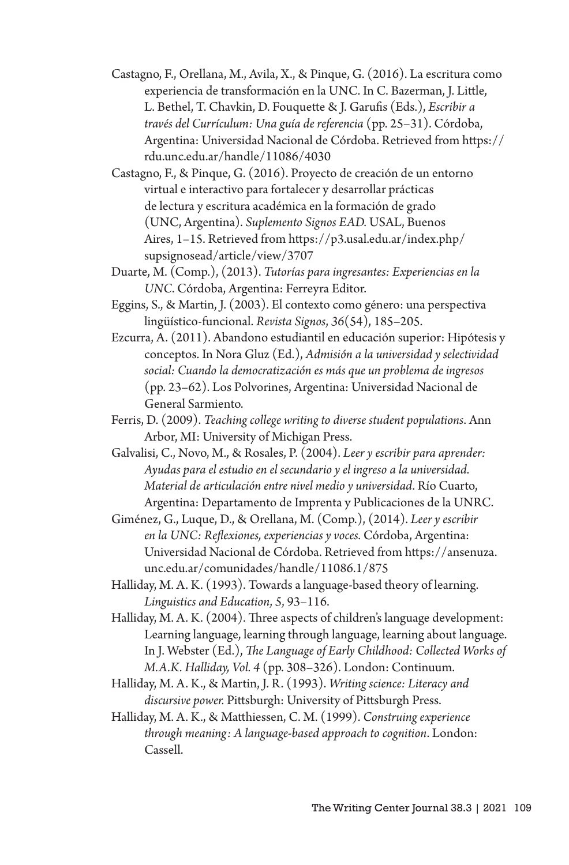- Castagno, F., Orellana, M., Avila, X., & Pinque, G. (2016). La escritura como experiencia de transformación en la UNC. In C. Bazerman, J. Little, L. Bethel, T. Chavkin, D. Fouquette & J. Garufis (Eds.), *Escribir a través del Currículum: Una guía de referencia* (pp. 25–31). Córdoba, Argentina: Universidad Nacional de Córdoba. Retrieved from https:// rdu.unc.edu.ar/handle/11086/4030
- Castagno, F., & Pinque, G. (2016). Proyecto de creación de un entorno virtual e interactivo para fortalecer y desarrollar prácticas de lectura y escritura académica en la formación de grado (UNC, Argentina). *Suplemento Signos EAD.* USAL, Buenos Aires, 1–15. Retrieved from https://p3.usal.edu.ar/index.php/ supsignosead/article/view/3707
- Duarte, M. (Comp.), (2013). *Tutorías para ingresantes: Experiencias en la UNC*. Córdoba, Argentina: Ferreyra Editor.
- Eggins, S., & Martin, J. (2003). El contexto como género: una perspectiva lingüístico-funcional. *Revista Signos*, *36*(54), 185–205.
- Ezcurra, A. (2011). Abandono estudiantil en educación superior: Hipótesis y conceptos. In Nora Gluz (Ed.), *Admisión a la universidad y selectividad social: Cuando la democratización es más que un problema de ingresos* (pp. 23–62). Los Polvorines, Argentina: Universidad Nacional de General Sarmiento.
- Ferris, D. (2009). *Teaching college writing to diverse student populations*. Ann Arbor, MI: University of Michigan Press.
- Galvalisi, C., Novo, M., & Rosales, P. (2004). *Leer y escribir para aprender: Ayudas para el estudio en el secundario y el ingreso a la universidad. Material de articulación entre nivel medio y universidad*. Río Cuarto, Argentina: Departamento de Imprenta y Publicaciones de la UNRC.
- Giménez, G., Luque, D., & Orellana, M. (Comp.), (2014). *Leer y escribir en la UNC: Reflexiones, experiencias y voces.* Córdoba, Argentina: Universidad Nacional de Córdoba. Retrieved from https://ansenuza. unc.edu.ar/comunidades/handle/11086.1/875
- Halliday, M. A. K. (1993). Towards a language-based theory of learning. *Linguistics and Education*, *5*, 93–116.
- Halliday, M. A. K. (2004). Three aspects of children's language development: Learning language, learning through language, learning about language. In J. Webster (Ed.), *The Language of Early Childhood: Collected Works of M.A.K. Halliday, Vol. 4* (pp. 308–326). London: Continuum.
- Halliday, M. A. K., & Martin, J. R. (1993). *Writing science: Literacy and discursive power.* Pittsburgh: University of Pittsburgh Press.
- Halliday, M. A. K., & Matthiessen, C. M. (1999). *Construing experience through meaning: A language-based approach to cognition*. London: Cassell.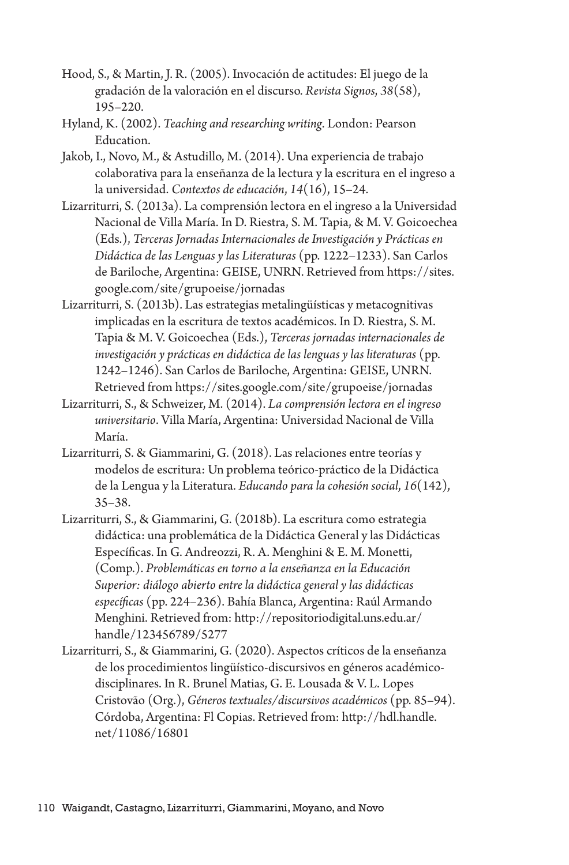- Hood, S., & Martin, J. R. (2005). Invocación de actitudes: El juego de la gradación de la valoración en el discurso. *Revista Signos*, *38*(58), 195–220.
- Hyland, K. (2002). *Teaching and researching writing*. London: Pearson Education.
- Jakob, I., Novo, M., & Astudillo, M. (2014). Una experiencia de trabajo colaborativa para la enseñanza de la lectura y la escritura en el ingreso a la universidad. *Contextos de educación*, *14*(16), 15–24.
- Lizarriturri, S. (2013a). La comprensión lectora en el ingreso a la Universidad Nacional de Villa María. In D. Riestra, S. M. Tapia, & M. V. Goicoechea (Eds.), *Terceras Jornadas Internacionales de Investigación y Prácticas en Didáctica de las Lenguas y las Literaturas* (pp. 1222–1233). San Carlos de Bariloche, Argentina: GEISE, UNRN. Retrieved from https://sites. google.com/site/grupoeise/jornadas
- Lizarriturri, S. (2013b). Las estrategias metalingüísticas y metacognitivas implicadas en la escritura de textos académicos. In D. Riestra, S. M. Tapia & M. V. Goicoechea (Eds.), *Terceras jornadas internacionales de investigación y prácticas en didáctica de las lenguas y las literaturas* (pp. 1242–1246). San Carlos de Bariloche, Argentina: GEISE, UNRN. Retrieved from https://sites.google.com/site/grupoeise/jornadas
- Lizarriturri, S., & Schweizer, M. (2014). *La comprensión lectora en el ingreso universitario*. Villa María, Argentina: Universidad Nacional de Villa María.
- Lizarriturri, S. & Giammarini, G. (2018). Las relaciones entre teorías y modelos de escritura: Un problema teórico-práctico de la Didáctica de la Lengua y la Literatura. *Educando para la cohesión social*, *16*(142), 35–38.
- Lizarriturri, S., & Giammarini, G. (2018b). La escritura como estrategia didáctica: una problemática de la Didáctica General y las Didácticas Específicas. In G. Andreozzi, R. A. Menghini & E. M. Monetti, (Comp.). *Problemáticas en torno a la enseñanza en la Educación Superior: diálogo abierto entre la didáctica general y las didácticas específicas* (pp. 224–236). Bahía Blanca, Argentina: Raúl Armando Menghini. Retrieved from: http://repositoriodigital.uns.edu.ar/ handle/123456789/5277
- Lizarriturri, S., & Giammarini, G. (2020). Aspectos críticos de la enseñanza de los procedimientos lingüístico-discursivos en géneros académicodisciplinares. In R. Brunel Matias, G. E. Lousada & V. L. Lopes Cristovão (Org.), *Géneros textuales/discursivos académicos* (pp. 85–94). Córdoba, Argentina: Fl Copias. Retrieved from: http://hdl.handle. net/11086/16801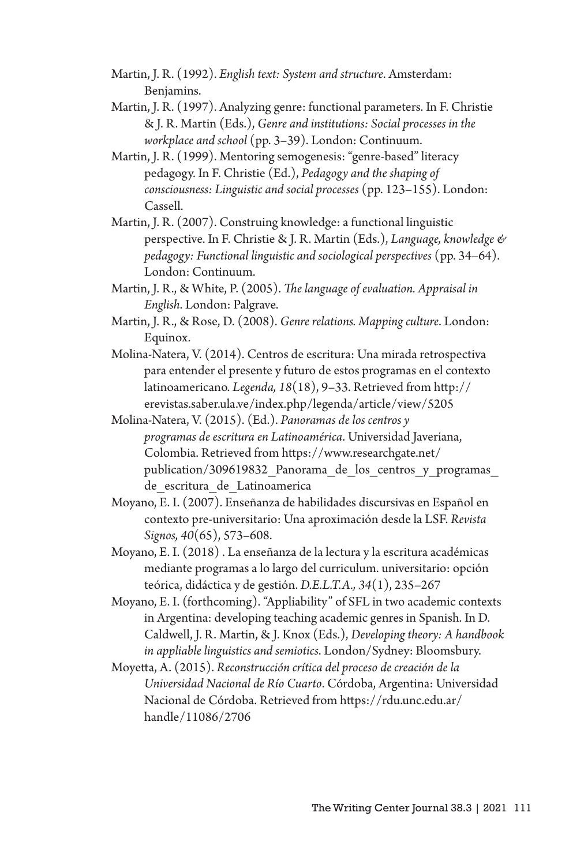- Martin, J. R. (1992). *English text: System and structure*. Amsterdam: Benjamins.
- Martin, J. R. (1997). Analyzing genre: functional parameters. In F. Christie & J. R. Martin (Eds.), *Genre and institutions: Social processes in the workplace and school* (pp. 3–39). London: Continuum.
- Martin, J. R. (1999). Mentoring semogenesis: "genre-based" literacy pedagogy. In F. Christie (Ed.), *Pedagogy and the shaping of consciousness: Linguistic and social processes* (pp. 123–155). London: Cassell.
- Martin, J. R. (2007). Construing knowledge: a functional linguistic perspective. In F. Christie & J. R. Martin (Eds.), *Language, knowledge & pedagogy: Functional linguistic and sociological perspectives* (pp. 34–64). London: Continuum.
- Martin, J. R., & White, P. (2005). *The language of evaluation. Appraisal in English*. London: Palgrave.
- Martin, J. R., & Rose, D. (2008). *Genre relations. Mapping culture*. London: Equinox.
- Molina-Natera, V. (2014). Centros de escritura: Una mirada retrospectiva para entender el presente y futuro de estos programas en el contexto latinoamericano. *Legenda, 18*(18), 9–33. Retrieved from http:// erevistas.saber.ula.ve/index.php/legenda/article/view/5205
- Molina-Natera, V. (2015). (Ed.). *Panoramas de los centros y programas de escritura en Latinoamérica*. Universidad Javeriana, Colombia. Retrieved from https://www.researchgate.net/ publication/309619832\_Panorama\_de\_los\_centros\_y\_programas\_ de escritura de Latinoamerica
- Moyano, E. I. (2007). Enseñanza de habilidades discursivas en Español en contexto pre-universitario: Una aproximación desde la LSF. *Revista Signos, 40*(65), 573–608.
- Moyano, E. I. (2018) . La enseñanza de la lectura y la escritura académicas mediante programas a lo largo del curriculum. universitario: opción teórica, didáctica y de gestión. *D.E.L.T.A., 34*(1), 235–267
- Moyano, E. I. (forthcoming). "Appliability" of SFL in two academic contexts in Argentina: developing teaching academic genres in Spanish. In D. Caldwell, J. R. Martin, & J. Knox (Eds.), *Developing theory: A handbook in appliable linguistics and semiotics*. London/Sydney: Bloomsbury.
- Moyetta, A. (2015). *Reconstrucción crítica del proceso de creación de la Universidad Nacional de Río Cuarto*. Córdoba, Argentina: Universidad Nacional de Córdoba. Retrieved from https://rdu.unc.edu.ar/ handle/11086/2706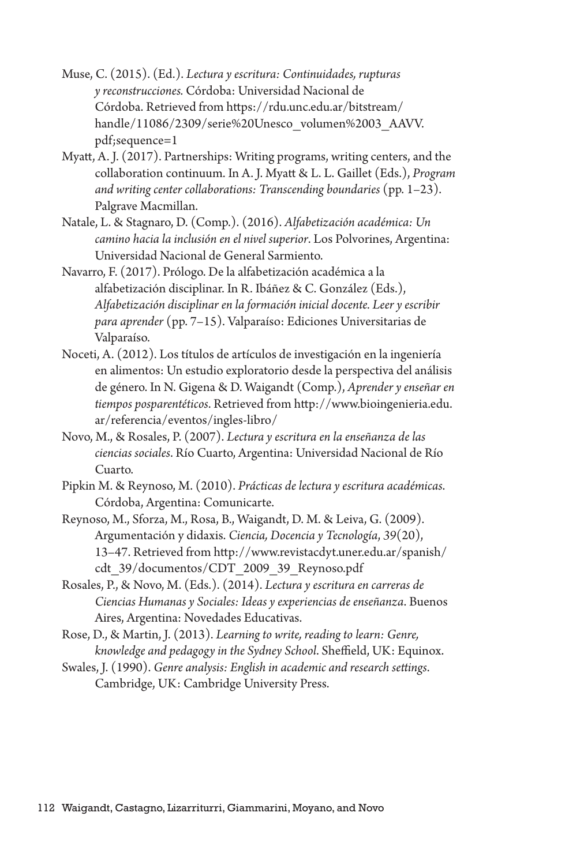- Muse, C. (2015). (Ed.). *Lectura y escritura: Continuidades, rupturas y reconstrucciones.* Córdoba: Universidad Nacional de Córdoba. Retrieved from https://rdu.unc.edu.ar/bitstream/ handle/11086/2309/serie%20Unesco\_volumen%2003\_AAVV. pdf;sequence=1
- Myatt, A. J. (2017). Partnerships: Writing programs, writing centers, and the collaboration continuum. In A. J. Myatt & L. L. Gaillet (Eds.), *Program and writing center collaborations: Transcending boundaries* (pp. 1–23). Palgrave Macmillan.
- Natale, L. & Stagnaro, D. (Comp.). (2016). *Alfabetización académica: Un camino hacia la inclusión en el nivel superior*. Los Polvorines, Argentina: Universidad Nacional de General Sarmiento.
- Navarro, F. (2017). Prólogo. De la alfabetización académica a la alfabetización disciplinar. In R. Ibáñez & C. González (Eds.), *Alfabetización disciplinar en la formación inicial docente. Leer y escribir para aprender* (pp. 7–15). Valparaíso: Ediciones Universitarias de Valparaíso.
- Noceti, A. (2012). Los títulos de artículos de investigación en la ingeniería en alimentos: Un estudio exploratorio desde la perspectiva del análisis de género. In N. Gigena & D. Waigandt (Comp.), *Aprender y enseñar en tiempos posparentéticos*. Retrieved from http://www.bioingenieria.edu. ar/referencia/eventos/ingles-libro/
- Novo, M., & Rosales, P. (2007). *Lectura y escritura en la enseñanza de las ciencias sociales*. Río Cuarto, Argentina: Universidad Nacional de Río Cuarto.
- Pipkin M. & Reynoso, M. (2010). *Prácticas de lectura y escritura académicas*. Córdoba, Argentina: Comunicarte.
- Reynoso, M., Sforza, M., Rosa, B., Waigandt, D. M. & Leiva, G. (2009). Argumentación y didaxis. *Ciencia, Docencia y Tecnología*, *39*(20), 13–47. Retrieved from http://www.revistacdyt.uner.edu.ar/spanish/ cdt\_39/documentos/CDT\_2009\_39\_Reynoso.pdf
- Rosales, P., & Novo, M. (Eds.). (2014). *Lectura y escritura en carreras de Ciencias Humanas y Sociales: Ideas y experiencias de enseñanza*. Buenos Aires, Argentina: Novedades Educativas.
- Rose, D., & Martin, J. (2013). *Learning to write, reading to learn: Genre, knowledge and pedagogy in the Sydney School*. Sheffield, UK: Equinox.
- Swales, J. (1990). *Genre analysis: English in academic and research settings*. Cambridge, UK: Cambridge University Press.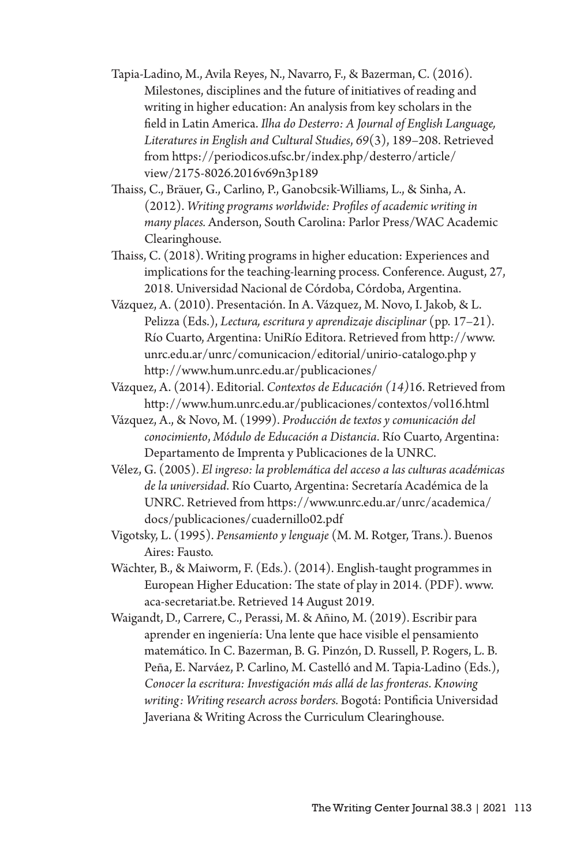- Tapia-Ladino, M., Avila Reyes, N., Navarro, F., & Bazerman, C. (2016). Milestones, disciplines and the future of initiatives of reading and writing in higher education: An analysis from key scholars in the field in Latin America. *Ilha do Desterro: A Journal of English Language, Literatures in English and Cultural Studies*, *69*(3), 189–208. Retrieved from https://periodicos.ufsc.br/index.php/desterro/article/ view/2175-8026.2016v69n3p189
- Thaiss, C., Bräuer, G., Carlino, P., Ganobcsik-Williams, L., & Sinha, A. (2012). *Writing programs worldwide: Profiles of academic writing in many places.* Anderson, South Carolina: Parlor Press/WAC Academic Clearinghouse.
- Thaiss, C. (2018). Writing programs in higher education: Experiences and implications for the teaching-learning process. Conference. August, 27, 2018. Universidad Nacional de Córdoba, Córdoba, Argentina.
- Vázquez, A. (2010). Presentación. In A. Vázquez, M. Novo, I. Jakob, & L. Pelizza (Eds.), *Lectura, escritura y aprendizaje disciplinar* (pp. 17–21). Río Cuarto, Argentina: UniRío Editora. Retrieved from http://www. unrc.edu.ar/unrc/comunicacion/editorial/unirio-catalogo.php y http://www.hum.unrc.edu.ar/publicaciones/
- Vázquez, A. (2014). Editorial. *Contextos de Educación (14)*16. Retrieved from http://www.hum.unrc.edu.ar/publicaciones/contextos/vol16.html
- Vázquez, A., & Novo, M. (1999). *Producción de textos y comunicación del conocimiento*, *Módulo de Educación a Distancia*. Río Cuarto, Argentina: Departamento de Imprenta y Publicaciones de la UNRC.
- Vélez, G. (2005). *El ingreso: la problemática del acceso a las culturas académicas de la universidad*. Río Cuarto, Argentina: Secretaría Académica de la UNRC. Retrieved from https://www.unrc.edu.ar/unrc/academica/ docs/publicaciones/cuadernillo02.pdf
- Vigotsky, L. (1995). *Pensamiento y lenguaje* (M. M. Rotger, Trans.). Buenos Aires: Fausto.
- Wächter, B., & Maiworm, F. (Eds.). (2014). English-taught programmes in European Higher Education: The state of play in 2014. (PDF). www. aca-secretariat.be. Retrieved 14 August 2019.
- Waigandt, D., Carrere, C., Perassi, M. & Añino, M. (2019). Escribir para aprender en ingeniería: Una lente que hace visible el pensamiento matemático. In C. Bazerman, B. G. Pinzón, D. Russell, P. Rogers, L. B. Peña, E. Narváez, P. Carlino, M. Castelló and M. Tapia-Ladino (Eds.), *Conocer la escritura: Investigación más allá de las fronteras*. *Knowing writing: Writing research across borders.* Bogotá: Pontificia Universidad Javeriana & Writing Across the Curriculum Clearinghouse.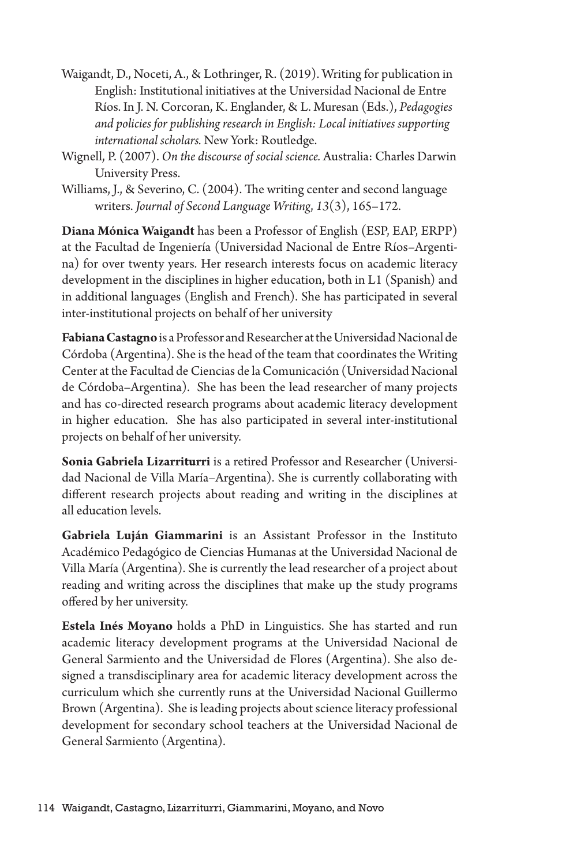- Waigandt, D., Noceti, A., & Lothringer, R. (2019). Writing for publication in English: Institutional initiatives at the Universidad Nacional de Entre Ríos. In J. N. Corcoran, K. Englander, & L. Muresan (Eds.), *Pedagogies and policies for publishing research in English: Local initiatives supporting international scholars.* New York: Routledge.
- Wignell, P. (2007). *On the discourse of social science.* Australia: Charles Darwin University Press.
- Williams, J., & Severino, C. (2004). The writing center and second language writers. *Journal of Second Language Writing*, *13*(3), 165–172.

**Diana Mónica Waigandt** has been a Professor of English (ESP, EAP, ERPP) at the Facultad de Ingeniería (Universidad Nacional de Entre Ríos–Argentina) for over twenty years. Her research interests focus on academic literacy development in the disciplines in higher education, both in L1 (Spanish) and in additional languages (English and French). She has participated in several inter-institutional projects on behalf of her university

**Fabiana Castagno** is a Professor and Researcher at the Universidad Nacional de Córdoba (Argentina). She is the head of the team that coordinates the Writing Center at the Facultad de Ciencias de la Comunicación (Universidad Nacional de Córdoba–Argentina). She has been the lead researcher of many projects and has co-directed research programs about academic literacy development in higher education. She has also participated in several inter-institutional projects on behalf of her university.

**Sonia Gabriela Lizarriturri** is a retired Professor and Researcher (Universidad Nacional de Villa María–Argentina). She is currently collaborating with different research projects about reading and writing in the disciplines at all education levels.

**Gabriela Luján Giammarini** is an Assistant Professor in the Instituto Académico Pedagógico de Ciencias Humanas at the Universidad Nacional de Villa María (Argentina). She is currently the lead researcher of a project about reading and writing across the disciplines that make up the study programs offered by her university.

**Estela Inés Moyano** holds a PhD in Linguistics. She has started and run academic literacy development programs at the Universidad Nacional de General Sarmiento and the Universidad de Flores (Argentina). She also designed a transdisciplinary area for academic literacy development across the curriculum which she currently runs at the Universidad Nacional Guillermo Brown (Argentina). She is leading projects about science literacy professional development for secondary school teachers at the Universidad Nacional de General Sarmiento (Argentina).